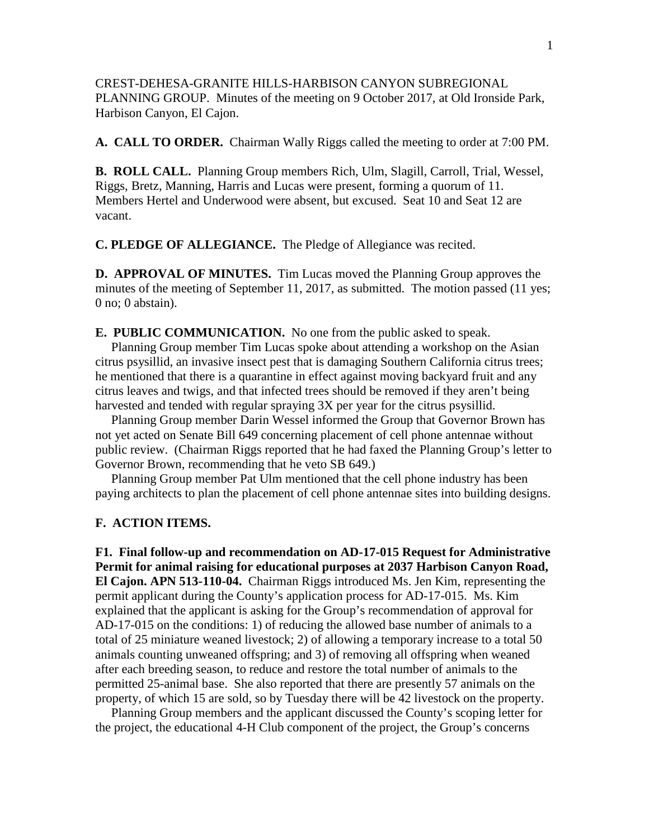CREST-DEHESA-GRANITE HILLS-HARBISON CANYON SUBREGIONAL PLANNING GROUP. Minutes of the meeting on 9 October 2017, at Old Ironside Park, Harbison Canyon, El Cajon.

**A. CALL TO ORDER.** Chairman Wally Riggs called the meeting to order at 7:00 PM.

**B. ROLL CALL.** Planning Group members Rich, Ulm, Slagill, Carroll, Trial, Wessel, Riggs, Bretz, Manning, Harris and Lucas were present, forming a quorum of 11. Members Hertel and Underwood were absent, but excused. Seat 10 and Seat 12 are vacant.

**C. PLEDGE OF ALLEGIANCE.** The Pledge of Allegiance was recited.

**D. APPROVAL OF MINUTES.** Tim Lucas moved the Planning Group approves the minutes of the meeting of September 11, 2017, as submitted. The motion passed (11 yes; 0 no; 0 abstain).

**E. PUBLIC COMMUNICATION.** No one from the public asked to speak.

 Planning Group member Tim Lucas spoke about attending a workshop on the Asian citrus psysillid, an invasive insect pest that is damaging Southern California citrus trees; he mentioned that there is a quarantine in effect against moving backyard fruit and any citrus leaves and twigs, and that infected trees should be removed if they aren't being harvested and tended with regular spraying 3X per year for the citrus psysillid.

 Planning Group member Darin Wessel informed the Group that Governor Brown has not yet acted on Senate Bill 649 concerning placement of cell phone antennae without public review. (Chairman Riggs reported that he had faxed the Planning Group's letter to Governor Brown, recommending that he veto SB 649.)

 Planning Group member Pat Ulm mentioned that the cell phone industry has been paying architects to plan the placement of cell phone antennae sites into building designs.

## **F. ACTION ITEMS.**

**F1. Final follow-up and recommendation on AD-17-015 Request for Administrative Permit for animal raising for educational purposes at 2037 Harbison Canyon Road, El Cajon. APN 513-110-04.** Chairman Riggs introduced Ms. Jen Kim, representing the permit applicant during the County's application process for AD-17-015. Ms. Kim explained that the applicant is asking for the Group's recommendation of approval for AD-17-015 on the conditions: 1) of reducing the allowed base number of animals to a total of 25 miniature weaned livestock; 2) of allowing a temporary increase to a total 50 animals counting unweaned offspring; and 3) of removing all offspring when weaned after each breeding season, to reduce and restore the total number of animals to the permitted 25-animal base. She also reported that there are presently 57 animals on the property, of which 15 are sold, so by Tuesday there will be 42 livestock on the property.

 Planning Group members and the applicant discussed the County's scoping letter for the project, the educational 4-H Club component of the project, the Group's concerns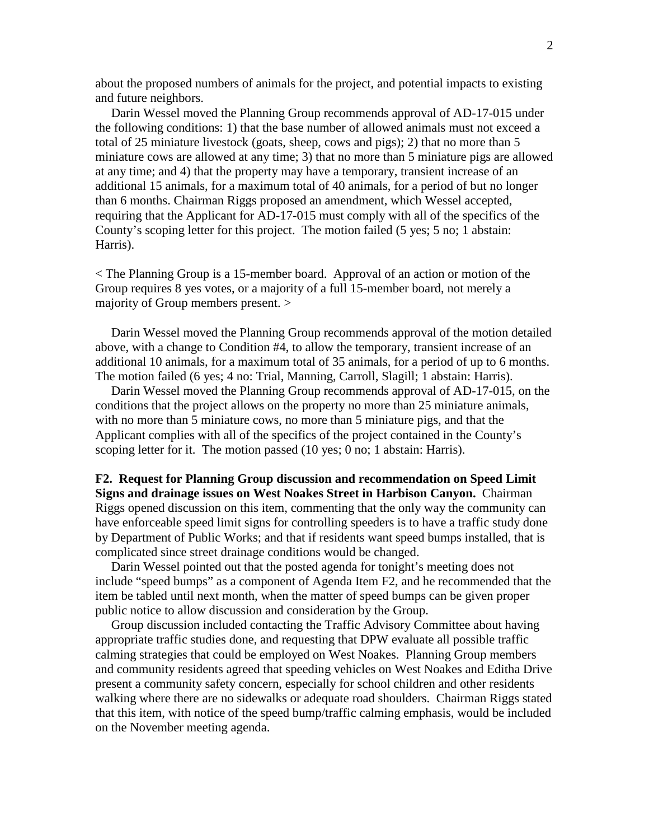about the proposed numbers of animals for the project, and potential impacts to existing and future neighbors.

 Darin Wessel moved the Planning Group recommends approval of AD-17-015 under the following conditions: 1) that the base number of allowed animals must not exceed a total of 25 miniature livestock (goats, sheep, cows and pigs); 2) that no more than 5 miniature cows are allowed at any time; 3) that no more than 5 miniature pigs are allowed at any time; and 4) that the property may have a temporary, transient increase of an additional 15 animals, for a maximum total of 40 animals, for a period of but no longer than 6 months. Chairman Riggs proposed an amendment, which Wessel accepted, requiring that the Applicant for AD-17-015 must comply with all of the specifics of the County's scoping letter for this project. The motion failed (5 yes; 5 no; 1 abstain: Harris).

< The Planning Group is a 15-member board. Approval of an action or motion of the Group requires 8 yes votes, or a majority of a full 15-member board, not merely a majority of Group members present. >

 Darin Wessel moved the Planning Group recommends approval of the motion detailed above, with a change to Condition #4, to allow the temporary, transient increase of an additional 10 animals, for a maximum total of 35 animals, for a period of up to 6 months. The motion failed (6 yes; 4 no: Trial, Manning, Carroll, Slagill; 1 abstain: Harris).

 Darin Wessel moved the Planning Group recommends approval of AD-17-015, on the conditions that the project allows on the property no more than 25 miniature animals, with no more than 5 miniature cows, no more than 5 miniature pigs, and that the Applicant complies with all of the specifics of the project contained in the County's scoping letter for it. The motion passed (10 yes; 0 no; 1 abstain: Harris).

## **F2. Request for Planning Group discussion and recommendation on Speed Limit Signs and drainage issues on West Noakes Street in Harbison Canyon.** Chairman Riggs opened discussion on this item, commenting that the only way the community can have enforceable speed limit signs for controlling speeders is to have a traffic study done by Department of Public Works; and that if residents want speed bumps installed, that is

complicated since street drainage conditions would be changed.

 Darin Wessel pointed out that the posted agenda for tonight's meeting does not include "speed bumps" as a component of Agenda Item F2, and he recommended that the item be tabled until next month, when the matter of speed bumps can be given proper public notice to allow discussion and consideration by the Group.

 Group discussion included contacting the Traffic Advisory Committee about having appropriate traffic studies done, and requesting that DPW evaluate all possible traffic calming strategies that could be employed on West Noakes. Planning Group members and community residents agreed that speeding vehicles on West Noakes and Editha Drive present a community safety concern, especially for school children and other residents walking where there are no sidewalks or adequate road shoulders. Chairman Riggs stated that this item, with notice of the speed bump/traffic calming emphasis, would be included on the November meeting agenda.